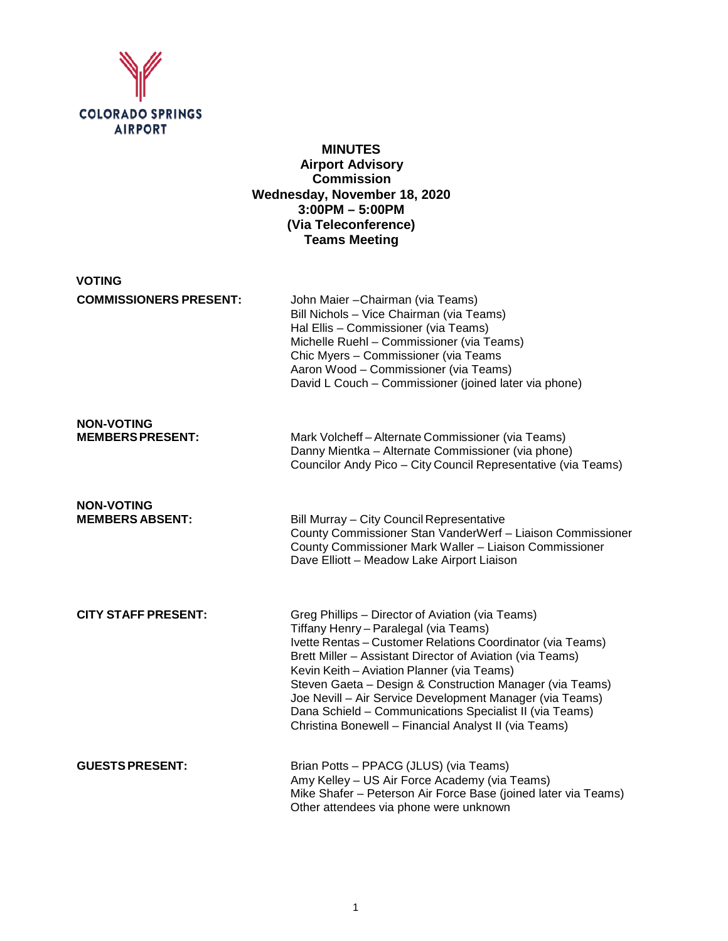

# **MINUTES Airport Advisory Commission Wednesday, November 18, 2020 3:00PM – 5:00PM (Via Teleconference) Teams Meeting**

| <b>VOTING</b>                                |                                                                                                                                                                                                                                                                                                                                                                                                                                                                                                                |
|----------------------------------------------|----------------------------------------------------------------------------------------------------------------------------------------------------------------------------------------------------------------------------------------------------------------------------------------------------------------------------------------------------------------------------------------------------------------------------------------------------------------------------------------------------------------|
| <b>COMMISSIONERS PRESENT:</b>                | John Maier - Chairman (via Teams)<br>Bill Nichols - Vice Chairman (via Teams)<br>Hal Ellis - Commissioner (via Teams)<br>Michelle Ruehl - Commissioner (via Teams)<br>Chic Myers - Commissioner (via Teams<br>Aaron Wood - Commissioner (via Teams)<br>David L Couch - Commissioner (joined later via phone)                                                                                                                                                                                                   |
| <b>NON-VOTING</b><br><b>MEMBERS PRESENT:</b> | Mark Volcheff-Alternate Commissioner (via Teams)<br>Danny Mientka - Alternate Commissioner (via phone)<br>Councilor Andy Pico - City Council Representative (via Teams)                                                                                                                                                                                                                                                                                                                                        |
| <b>NON-VOTING</b><br><b>MEMBERS ABSENT:</b>  | Bill Murray - City Council Representative<br>County Commissioner Stan VanderWerf - Liaison Commissioner<br>County Commissioner Mark Waller - Liaison Commissioner<br>Dave Elliott - Meadow Lake Airport Liaison                                                                                                                                                                                                                                                                                                |
| <b>CITY STAFF PRESENT:</b>                   | Greg Phillips - Director of Aviation (via Teams)<br>Tiffany Henry - Paralegal (via Teams)<br>Ivette Rentas - Customer Relations Coordinator (via Teams)<br>Brett Miller - Assistant Director of Aviation (via Teams)<br>Kevin Keith - Aviation Planner (via Teams)<br>Steven Gaeta - Design & Construction Manager (via Teams)<br>Joe Nevill - Air Service Development Manager (via Teams)<br>Dana Schield - Communications Specialist II (via Teams)<br>Christina Bonewell - Financial Analyst II (via Teams) |
| <b>GUESTS PRESENT:</b>                       | Brian Potts - PPACG (JLUS) (via Teams)<br>Amy Kelley - US Air Force Academy (via Teams)<br>Mike Shafer - Peterson Air Force Base (joined later via Teams)<br>Other attendees via phone were unknown                                                                                                                                                                                                                                                                                                            |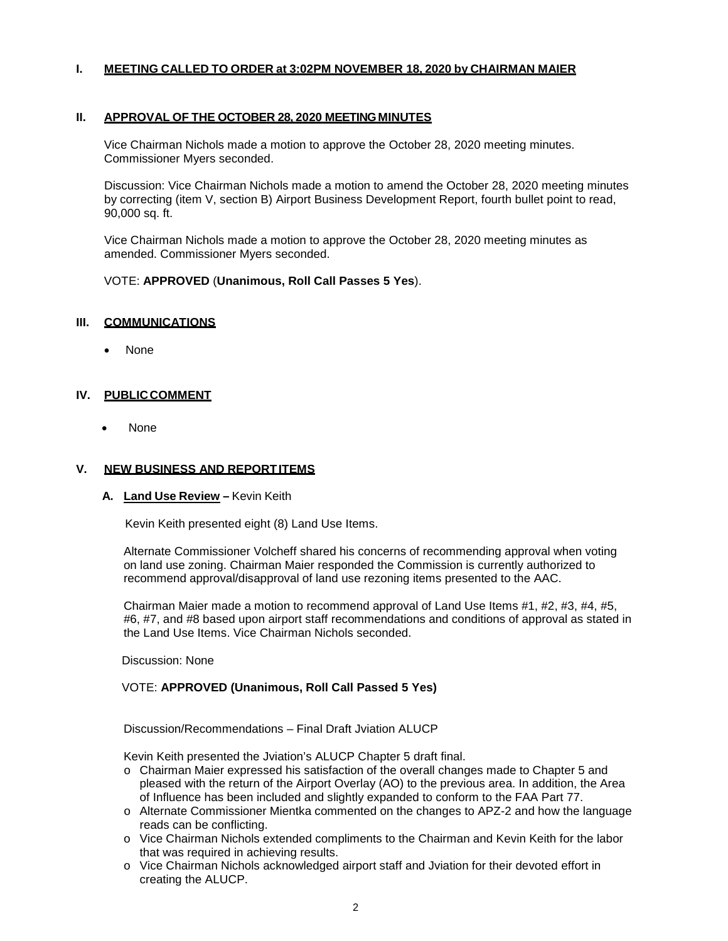### **I. MEETING CALLED TO ORDER at 3:02PM NOVEMBER 18, 2020 by CHAIRMAN MAIER**

#### **II. APPROVAL OF THE OCTOBER 28, 2020 MEETINGMINUTES**

Vice Chairman Nichols made a motion to approve the October 28, 2020 meeting minutes. Commissioner Myers seconded.

Discussion: Vice Chairman Nichols made a motion to amend the October 28, 2020 meeting minutes by correcting (item V, section B) Airport Business Development Report, fourth bullet point to read, 90,000 sq. ft.

Vice Chairman Nichols made a motion to approve the October 28, 2020 meeting minutes as amended. Commissioner Myers seconded.

### VOTE: **APPROVED** (**Unanimous, Roll Call Passes 5 Yes**).

#### **III. COMMUNICATIONS**

• None

### **IV. PUBLICCOMMENT**

• None

#### **V. NEW BUSINESS AND REPORTITEMS**

#### **A. Land Use Review –** Kevin Keith

Kevin Keith presented eight (8) Land Use Items.

Alternate Commissioner Volcheff shared his concerns of recommending approval when voting on land use zoning. Chairman Maier responded the Commission is currently authorized to recommend approval/disapproval of land use rezoning items presented to the AAC.

Chairman Maier made a motion to recommend approval of Land Use Items #1, #2, #3, #4, #5, #6, #7, and #8 based upon airport staff recommendations and conditions of approval as stated in the Land Use Items. Vice Chairman Nichols seconded.

Discussion: None

#### VOTE: **APPROVED (Unanimous, Roll Call Passed 5 Yes)**

Discussion/Recommendations – Final Draft Jviation ALUCP

Kevin Keith presented the Jviation's ALUCP Chapter 5 draft final.

- o Chairman Maier expressed his satisfaction of the overall changes made to Chapter 5 and pleased with the return of the Airport Overlay (AO) to the previous area. In addition, the Area of Influence has been included and slightly expanded to conform to the FAA Part 77.
- o Alternate Commissioner Mientka commented on the changes to APZ-2 and how the language reads can be conflicting.
- o Vice Chairman Nichols extended compliments to the Chairman and Kevin Keith for the labor that was required in achieving results.
- o Vice Chairman Nichols acknowledged airport staff and Jviation for their devoted effort in creating the ALUCP.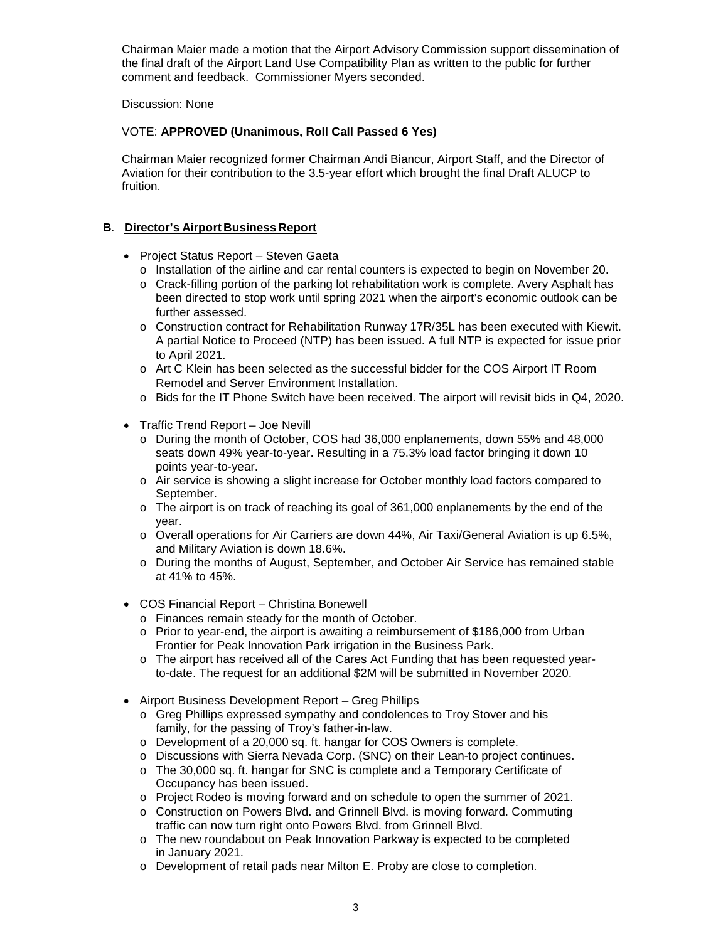Chairman Maier made a motion that the Airport Advisory Commission support dissemination of the final draft of the Airport Land Use Compatibility Plan as written to the public for further comment and feedback. Commissioner Myers seconded.

### Discussion: None

# VOTE: **APPROVED (Unanimous, Roll Call Passed 6 Yes)**

Chairman Maier recognized former Chairman Andi Biancur, Airport Staff, and the Director of Aviation for their contribution to the 3.5-year effort which brought the final Draft ALUCP to fruition.

## **B. Director's Airport Business Report**

- Project Status Report Steven Gaeta
	- o Installation of the airline and car rental counters is expected to begin on November 20.
	- o Crack-filling portion of the parking lot rehabilitation work is complete. Avery Asphalt has been directed to stop work until spring 2021 when the airport's economic outlook can be further assessed.
	- o Construction contract for Rehabilitation Runway 17R/35L has been executed with Kiewit. A partial Notice to Proceed (NTP) has been issued. A full NTP is expected for issue prior to April 2021.
	- o Art C Klein has been selected as the successful bidder for the COS Airport IT Room Remodel and Server Environment Installation.
	- o Bids for the IT Phone Switch have been received. The airport will revisit bids in Q4, 2020.
- Traffic Trend Report Joe Nevill
	- o During the month of October, COS had 36,000 enplanements, down 55% and 48,000 seats down 49% year-to-year. Resulting in a 75.3% load factor bringing it down 10 points year-to-year.
	- o Air service is showing a slight increase for October monthly load factors compared to September.
	- $\circ$  The airport is on track of reaching its goal of 361,000 enplanements by the end of the year.
	- o Overall operations for Air Carriers are down 44%, Air Taxi/General Aviation is up 6.5%, and Military Aviation is down 18.6%.
	- o During the months of August, September, and October Air Service has remained stable at 41% to 45%.
- COS Financial Report Christina Bonewell
	- o Finances remain steady for the month of October.
	- $\circ$  Prior to year-end, the airport is awaiting a reimbursement of \$186,000 from Urban Frontier for Peak Innovation Park irrigation in the Business Park.
	- o The airport has received all of the Cares Act Funding that has been requested yearto-date. The request for an additional \$2M will be submitted in November 2020.
- Airport Business Development Report Greg Phillips
	- o Greg Phillips expressed sympathy and condolences to Troy Stover and his family, for the passing of Troy's father-in-law.
	- o Development of a 20,000 sq. ft. hangar for COS Owners is complete.
	- o Discussions with Sierra Nevada Corp. (SNC) on their Lean-to project continues.
	- o The 30,000 sq. ft. hangar for SNC is complete and a Temporary Certificate of Occupancy has been issued.
	- o Project Rodeo is moving forward and on schedule to open the summer of 2021.
	- o Construction on Powers Blvd. and Grinnell Blvd. is moving forward. Commuting traffic can now turn right onto Powers Blvd. from Grinnell Blvd.
	- o The new roundabout on Peak Innovation Parkway is expected to be completed in January 2021.
	- o Development of retail pads near Milton E. Proby are close to completion.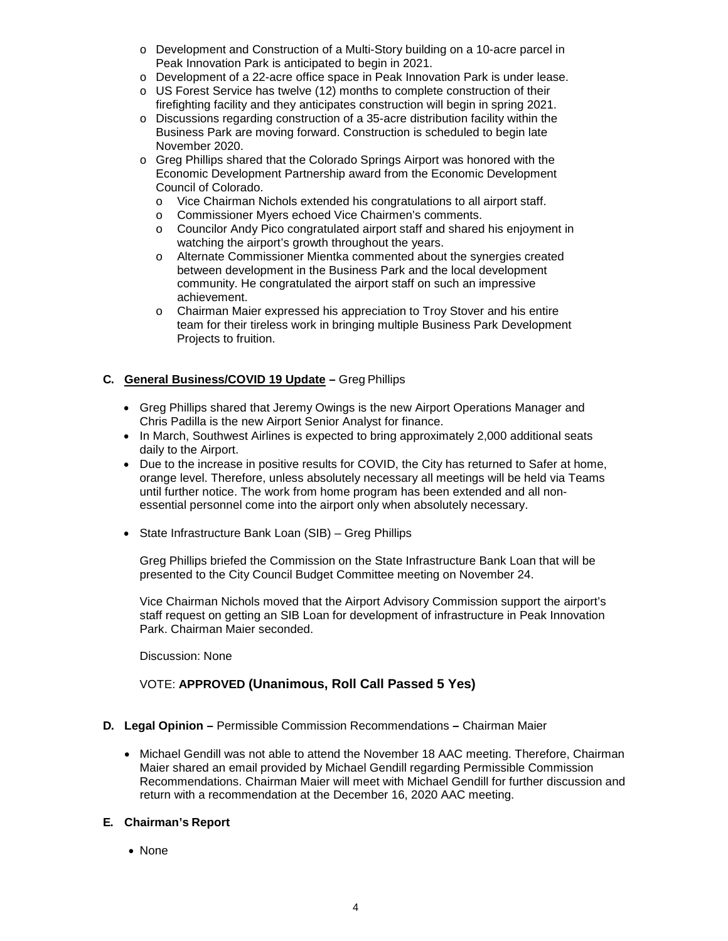- o Development and Construction of a Multi-Story building on a 10-acre parcel in Peak Innovation Park is anticipated to begin in 2021.
- o Development of a 22-acre office space in Peak Innovation Park is under lease.
- o US Forest Service has twelve (12) months to complete construction of their firefighting facility and they anticipates construction will begin in spring 2021.
- o Discussions regarding construction of a 35-acre distribution facility within the Business Park are moving forward. Construction is scheduled to begin late November 2020.
- o Greg Phillips shared that the Colorado Springs Airport was honored with the Economic Development Partnership award from the Economic Development Council of Colorado.
	- o Vice Chairman Nichols extended his congratulations to all airport staff.
	- o Commissioner Myers echoed Vice Chairmen's comments.
	- o Councilor Andy Pico congratulated airport staff and shared his enjoyment in watching the airport's growth throughout the years.
	- o Alternate Commissioner Mientka commented about the synergies created between development in the Business Park and the local development community. He congratulated the airport staff on such an impressive achievement.
	- o Chairman Maier expressed his appreciation to Troy Stover and his entire team for their tireless work in bringing multiple Business Park Development Projects to fruition.

# **C. General Business/COVID 19 Update –** Greg Phillips

- Greg Phillips shared that Jeremy Owings is the new Airport Operations Manager and Chris Padilla is the new Airport Senior Analyst for finance.
- In March, Southwest Airlines is expected to bring approximately 2,000 additional seats daily to the Airport.
- Due to the increase in positive results for COVID, the City has returned to Safer at home, orange level. Therefore, unless absolutely necessary all meetings will be held via Teams until further notice. The work from home program has been extended and all nonessential personnel come into the airport only when absolutely necessary.
- State Infrastructure Bank Loan (SIB) Greg Phillips

Greg Phillips briefed the Commission on the State Infrastructure Bank Loan that will be presented to the City Council Budget Committee meeting on November 24.

Vice Chairman Nichols moved that the Airport Advisory Commission support the airport's staff request on getting an SIB Loan for development of infrastructure in Peak Innovation Park. Chairman Maier seconded.

Discussion: None

# VOTE: **APPROVED (Unanimous, Roll Call Passed 5 Yes)**

### **D. Legal Opinion –** Permissible Commission Recommendations **–** Chairman Maier

• Michael Gendill was not able to attend the November 18 AAC meeting. Therefore, Chairman Maier shared an email provided by Michael Gendill regarding Permissible Commission Recommendations. Chairman Maier will meet with Michael Gendill for further discussion and return with a recommendation at the December 16, 2020 AAC meeting.

## **E. Chairman's Report**

• None